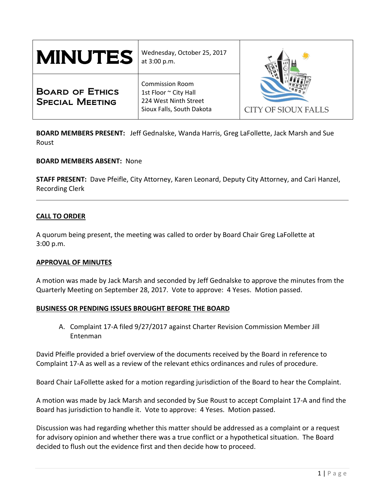| <b>MINUTES</b>                                   | Wednesday, October 25, 2017<br>at 3:00 p.m.                                                           |                     |
|--------------------------------------------------|-------------------------------------------------------------------------------------------------------|---------------------|
| <b>BOARD OF ETHICS</b><br><b>SPECIAL MEETING</b> | <b>Commission Room</b><br>1st Floor ~ City Hall<br>224 West Ninth Street<br>Sioux Falls, South Dakota | CITY OF SIOUX FALLS |

**BOARD MEMBERS PRESENT:** Jeff Gednalske, Wanda Harris, Greg LaFollette, Jack Marsh and Sue Roust

## **BOARD MEMBERS ABSENT:** None

**STAFF PRESENT:** Dave Pfeifle, City Attorney, Karen Leonard, Deputy City Attorney, and Cari Hanzel, Recording Clerk

## **CALL TO ORDER**

A quorum being present, the meeting was called to order by Board Chair Greg LaFollette at 3:00 p.m.

#### **APPROVAL OF MINUTES**

A motion was made by Jack Marsh and seconded by Jeff Gednalske to approve the minutes from the Quarterly Meeting on September 28, 2017. Vote to approve: 4 Yeses. Motion passed.

#### **BUSINESS OR PENDING ISSUES BROUGHT BEFORE THE BOARD**

A. Complaint 17-A filed 9/27/2017 against Charter Revision Commission Member Jill Entenman

David Pfeifle provided a brief overview of the documents received by the Board in reference to Complaint 17-A as well as a review of the relevant ethics ordinances and rules of procedure.

Board Chair LaFollette asked for a motion regarding jurisdiction of the Board to hear the Complaint.

A motion was made by Jack Marsh and seconded by Sue Roust to accept Complaint 17-A and find the Board has jurisdiction to handle it. Vote to approve: 4 Yeses. Motion passed.

Discussion was had regarding whether this matter should be addressed as a complaint or a request for advisory opinion and whether there was a true conflict or a hypothetical situation. The Board decided to flush out the evidence first and then decide how to proceed.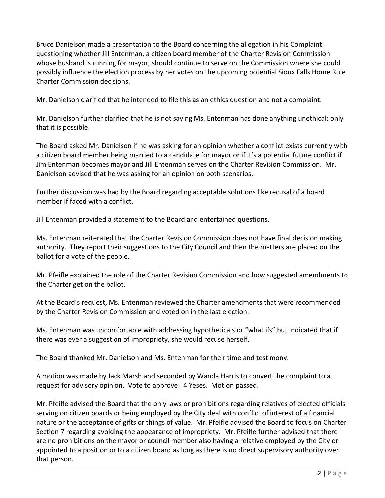Bruce Danielson made a presentation to the Board concerning the allegation in his Complaint questioning whether Jill Entenman, a citizen board member of the Charter Revision Commission whose husband is running for mayor, should continue to serve on the Commission where she could possibly influence the election process by her votes on the upcoming potential Sioux Falls Home Rule Charter Commission decisions.

Mr. Danielson clarified that he intended to file this as an ethics question and not a complaint.

Mr. Danielson further clarified that he is not saying Ms. Entenman has done anything unethical; only that it is possible.

The Board asked Mr. Danielson if he was asking for an opinion whether a conflict exists currently with a citizen board member being married to a candidate for mayor or if it's a potential future conflict if Jim Entenman becomes mayor and Jill Entenman serves on the Charter Revision Commission. Mr. Danielson advised that he was asking for an opinion on both scenarios.

Further discussion was had by the Board regarding acceptable solutions like recusal of a board member if faced with a conflict.

Jill Entenman provided a statement to the Board and entertained questions.

Ms. Entenman reiterated that the Charter Revision Commission does not have final decision making authority. They report their suggestions to the City Council and then the matters are placed on the ballot for a vote of the people.

Mr. Pfeifle explained the role of the Charter Revision Commission and how suggested amendments to the Charter get on the ballot.

At the Board's request, Ms. Entenman reviewed the Charter amendments that were recommended by the Charter Revision Commission and voted on in the last election.

Ms. Entenman was uncomfortable with addressing hypotheticals or "what ifs" but indicated that if there was ever a suggestion of impropriety, she would recuse herself.

The Board thanked Mr. Danielson and Ms. Entenman for their time and testimony.

A motion was made by Jack Marsh and seconded by Wanda Harris to convert the complaint to a request for advisory opinion. Vote to approve: 4 Yeses. Motion passed.

Mr. Pfeifle advised the Board that the only laws or prohibitions regarding relatives of elected officials serving on citizen boards or being employed by the City deal with conflict of interest of a financial nature or the acceptance of gifts or things of value. Mr. Pfeifle advised the Board to focus on Charter Section 7 regarding avoiding the appearance of impropriety. Mr. Pfeifle further advised that there are no prohibitions on the mayor or council member also having a relative employed by the City or appointed to a position or to a citizen board as long as there is no direct supervisory authority over that person.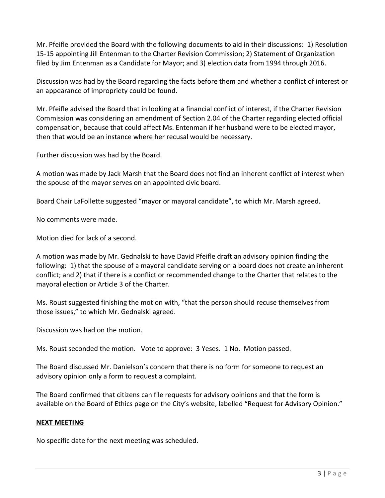Mr. Pfeifle provided the Board with the following documents to aid in their discussions: 1) Resolution 15-15 appointing Jill Entenman to the Charter Revision Commission; 2) Statement of Organization filed by Jim Entenman as a Candidate for Mayor; and 3) election data from 1994 through 2016.

Discussion was had by the Board regarding the facts before them and whether a conflict of interest or an appearance of impropriety could be found.

Mr. Pfeifle advised the Board that in looking at a financial conflict of interest, if the Charter Revision Commission was considering an amendment of Section 2.04 of the Charter regarding elected official compensation, because that could affect Ms. Entenman if her husband were to be elected mayor, then that would be an instance where her recusal would be necessary.

Further discussion was had by the Board.

A motion was made by Jack Marsh that the Board does not find an inherent conflict of interest when the spouse of the mayor serves on an appointed civic board.

Board Chair LaFollette suggested "mayor or mayoral candidate", to which Mr. Marsh agreed.

No comments were made.

Motion died for lack of a second.

A motion was made by Mr. Gednalski to have David Pfeifle draft an advisory opinion finding the following: 1) that the spouse of a mayoral candidate serving on a board does not create an inherent conflict; and 2) that if there is a conflict or recommended change to the Charter that relates to the mayoral election or Article 3 of the Charter.

Ms. Roust suggested finishing the motion with, "that the person should recuse themselves from those issues," to which Mr. Gednalski agreed.

Discussion was had on the motion.

Ms. Roust seconded the motion. Vote to approve: 3 Yeses. 1 No. Motion passed.

The Board discussed Mr. Danielson's concern that there is no form for someone to request an advisory opinion only a form to request a complaint.

The Board confirmed that citizens can file requests for advisory opinions and that the form is available on the Board of Ethics page on the City's website, labelled "Request for Advisory Opinion."

## **NEXT MEETING**

No specific date for the next meeting was scheduled.